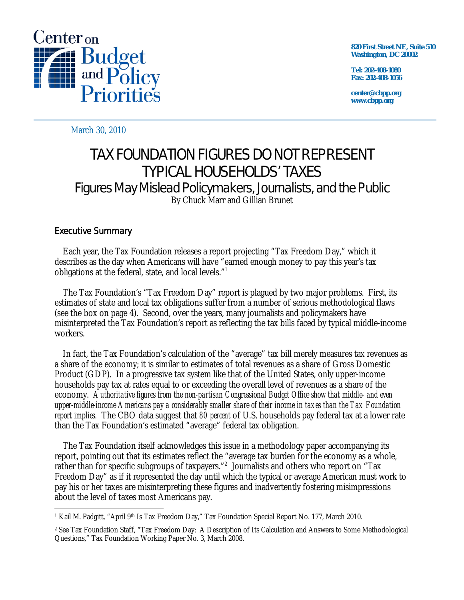

**820 First Street NE, Suite 510 Washington, DC 20002** 

**Tel: 202-408-1080 Fax: 202-408-1056** 

**center@cbpp.org www.cbpp.org** 

March 30, 2010

# TAX FOUNDATION FIGURES DO NOT REPRESENT TYPICAL HOUSEHOLDS' TAXES Figures May Mislead Policymakers, Journalists, and the Public By Chuck Marr and Gillian Brunet

## Executive Summary

 Each year, the Tax Foundation releases a report projecting "Tax Freedom Day," which it describes as the day when Americans will have "earned enough money to pay this year's tax obligations at the federal, state, and local levels."<sup>1</sup>

 The Tax Foundation's "Tax Freedom Day" report is plagued by two major problems. First, its estimates of state and local tax obligations suffer from a number of serious methodological flaws (see the box on page 4). Second, over the years, many journalists and policymakers have misinterpreted the Tax Foundation's report as reflecting the tax bills faced by typical middle-income workers.

 In fact, the Tax Foundation's calculation of the "average" tax bill merely measures tax revenues as a share of the economy; it is similar to estimates of total revenues as a share of Gross Domestic Product (GDP). In a progressive tax system like that of the United States, only upper-income households pay tax at rates equal to or exceeding the overall level of revenues as a share of the economy. *Authoritative figures from the non-partisan Congressional Budget Office show that middle- and even upper-middle-income Americans pay a considerably smaller share of their income in taxes than the Tax Foundation report implies.* The CBO data suggest that *80 percent* of U.S. households pay federal tax at a lower rate than the Tax Foundation's estimated "average" federal tax obligation.

 The Tax Foundation itself acknowledges this issue in a methodology paper accompanying its report, pointing out that its estimates reflect the "average tax burden for the economy as a whole, rather than for specific subgroups of taxpayers."<sup>2</sup> Journalists and others who report on "Tax Freedom Day" as if it represented the day until which the typical or average American must work to pay his or her taxes are misinterpreting these figures and inadvertently fostering misimpressions about the level of taxes most Americans pay.

 $\overline{a}$ <sup>1</sup> Kail M. Padgitt, "April 9<sup>th</sup> Is Tax Freedom Day," Tax Foundation Special Report No. 177, March 2010.

<sup>2</sup> See Tax Foundation Staff, "Tax Freedom Day: A Description of Its Calculation and Answers to Some Methodological Questions," Tax Foundation Working Paper No. 3, March 2008.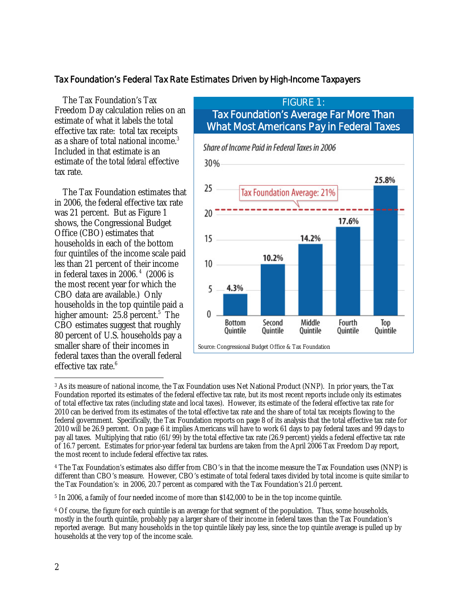### Tax Foundation's Federal Tax Rate Estimates Driven by High-Income Taxpayers

 The Tax Foundation's Tax Freedom Day calculation relies on an estimate of what it labels the total effective tax rate: total tax receipts as a share of total national income.<sup>3</sup> Included in that estimate is an estimate of the total *federal* effective tax rate.

 The Tax Foundation estimates that in 2006, the federal effective tax rate was 21 percent. But as Figure 1 shows, the Congressional Budget Office (CBO) estimates that households in each of the bottom *four* quintiles of the income scale paid *less* than 21 percent of their income in federal taxes in 2006. $4$  (2006 is the most recent year for which the CBO data are available.) Only households in the top quintile paid a higher amount: 25.8 percent.<sup>5</sup> The CBO estimates suggest that roughly 80 percent of U.S. households pay a smaller share of their incomes in federal taxes than the overall federal effective tax rate.<sup>6</sup>

# FIGURE 1: Tax Foundation's Average Far More Than What Most Americans Pay in Federal Taxes



<sup>-</sup>3 As its measure of national income, the Tax Foundation uses Net National Product (NNP). In prior years, the Tax Foundation reported its estimates of the federal effective tax rate, but its most recent reports include only its estimates of total effective tax rates (including state and local taxes). However, its estimate of the federal effective tax rate for 2010 can be derived from its estimates of the total effective tax rate and the share of total tax receipts flowing to the federal government. Specifically, the Tax Foundation reports on page 8 of its analysis that the total effective tax rate for 2010 will be 26.9 percent. On page 6 it implies Americans will have to work 61 days to pay federal taxes and 99 days to pay all taxes. Multiplying that ratio (61/99) by the total effective tax rate (26.9 percent) yields a federal effective tax rate of 16.7 percent. Estimates for prior-year federal tax burdens are taken from the April 2006 Tax Freedom Day report, the most recent to include federal effective tax rates.

4 The Tax Foundation's estimates also differ from CBO's in that the income measure the Tax Foundation uses (NNP) is different than CBO's measure. However, CBO's estimate of total federal taxes divided by total income is quite similar to the Tax Foundation's: in 2006, 20.7 percent as compared with the Tax Foundation's 21.0 percent.

5 In 2006, a family of four needed income of more than \$142,000 to be in the top income quintile.

<sup>6</sup> Of course, the figure for each quintile is an average for that segment of the population. Thus, some households, mostly in the fourth quintile, probably pay a larger share of their income in federal taxes than the Tax Foundation's reported average. But many households in the top quintile likely pay less, since the top quintile average is pulled up by households at the very top of the income scale.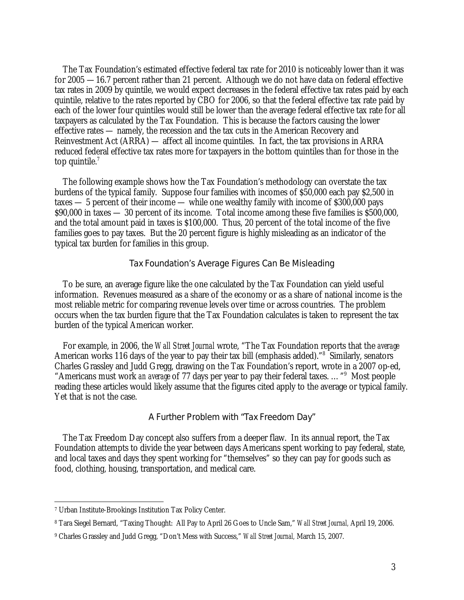The Tax Foundation's estimated effective federal tax rate for 2010 is noticeably lower than it was for 2005 —16.7 percent rather than 21 percent. Although we do not have data on federal effective tax rates in 2009 by quintile, we would expect decreases in the federal effective tax rates paid by each quintile, relative to the rates reported by CBO for 2006, so that the federal effective tax rate paid by each of the lower four quintiles would still be lower than the average federal effective tax rate for all taxpayers as calculated by the Tax Foundation. This is because the factors causing the lower effective rates — namely, the recession and the tax cuts in the American Recovery and Reinvestment Act (ARRA) — affect all income quintiles. In fact, the tax provisions in ARRA reduced federal effective tax rates more for taxpayers in the bottom quintiles than for those in the top quintile. $<sup>7</sup>$ </sup>

 The following example shows how the Tax Foundation's methodology can overstate the tax burdens of the typical family. Suppose four families with incomes of \$50,000 each pay \$2,500 in taxes — 5 percent of their income — while one wealthy family with income of \$300,000 pays \$90,000 in taxes — 30 percent of its income. Total income among these five families is \$500,000, and the total amount paid in taxes is \$100,000. Thus, 20 percent of the total income of the five families goes to pay taxes. But the 20 percent figure is highly misleading as an indicator of the typical tax burden for families in this group.

#### Tax Foundation's Average Figures Can Be Misleading

To be sure, an average figure like the one calculated by the Tax Foundation can yield useful information. Revenues measured as a share of the economy or as a share of national income is the most reliable metric for comparing revenue levels over time or across countries. The problem occurs when the tax burden figure that the Tax Foundation calculates is taken to represent the tax burden of the typical American worker.

 For example, in 2006, the *Wall Street Journal* wrote, "The Tax Foundation reports that the *average* American works 116 days of the year to pay their tax bill (emphasis added)."<sup>8</sup> Similarly, senators Charles Grassley and Judd Gregg, drawing on the Tax Foundation's report, wrote in a 2007 op-ed, "Americans must work *an average* of 77 days per year to pay their federal taxes. …"9 Most people reading these articles would likely assume that the figures cited apply to the average or typical family. Yet that is not the case.

### A Further Problem with "Tax Freedom Day"

 The Tax Freedom Day concept also suffers from a deeper flaw. In its annual report, the Tax Foundation attempts to divide the year between days Americans spent working to pay federal, state, and local taxes and days they spent working for "themselves" so they can pay for goods such as food, clothing, housing, transportation, and medical care.

 $\overline{a}$ 

<sup>7</sup> Urban Institute-Brookings Institution Tax Policy Center.

<sup>8</sup> Tara Siegel Bernard, "Taxing Thought: All Pay to April 26 Goes to Uncle Sam," *Wall Street Journal,* April 19, 2006.

<sup>9</sup> Charles Grassley and Judd Gregg, "Don't Mess with Success," *Wall Street Journal,* March 15, 2007.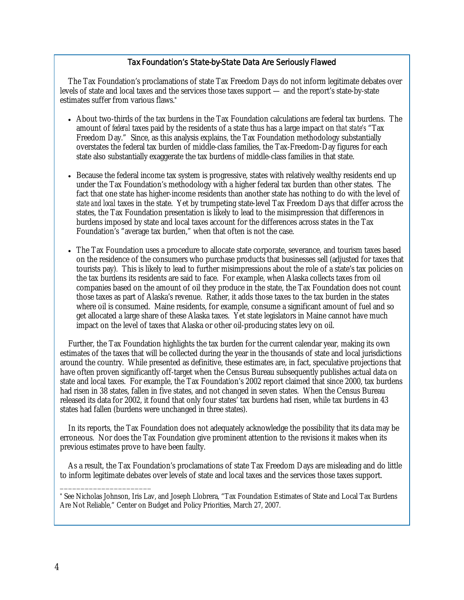### Tax Foundation's State-by-State Data Are Seriously Flawed

The Tax Foundation's proclamations of state Tax Freedom Days do not inform legitimate debates over levels of state and local taxes and the services those taxes support — and the report's state-by-state estimates suffer from various flaws.\*

- About two-thirds of the tax burdens in the Tax Foundation calculations are federal tax burdens. The amount of *federal* taxes paid by the residents of a state thus has a large impact on *that state's* "Tax Freedom Day." Since, as this analysis explains, the Tax Foundation methodology substantially overstates the federal tax burden of middle-class families, the Tax-Freedom-Day figures for each state also substantially exaggerate the tax burdens of middle-class families in that state.
- Because the federal income tax system is progressive, states with relatively wealthy residents end up under the Tax Foundation's methodology with a higher federal tax burden than other states. The fact that one state has higher-income residents than another state has nothing to do with the level of *state and local* taxes in the state. Yet by trumpeting state-level Tax Freedom Days that differ across the states, the Tax Foundation presentation is likely to lead to the misimpression that differences in burdens imposed by state and local taxes account for the differences across states in the Tax Foundation's "average tax burden," when that often is not the case.
- The Tax Foundation uses a procedure to allocate state corporate, severance, and tourism taxes based on the residence of the consumers who purchase products that businesses sell (adjusted for taxes that tourists pay). This is likely to lead to further misimpressions about the role of a state's tax policies on the tax burdens its residents are said to face. For example, when Alaska collects taxes from oil companies based on the amount of oil they produce in the state, the Tax Foundation does not count those taxes as part of Alaska's revenue. Rather, it adds those taxes to the tax burden in the states where oil is consumed. Maine residents, for example, consume a significant amount of fuel and so get allocated a large share of these Alaska taxes. Yet state legislators in Maine cannot have much impact on the level of taxes that Alaska or other oil-producing states levy on oil.

Further, the Tax Foundation highlights the tax burden for the current calendar year, making its own estimates of the taxes that will be collected during the year in the thousands of state and local jurisdictions around the country. While presented as definitive, these estimates are, in fact, speculative projections that have often proven significantly off-target when the Census Bureau subsequently publishes actual data on state and local taxes. For example, the Tax Foundation's 2002 report claimed that since 2000, tax burdens had risen in 38 states, fallen in five states, and not changed in seven states. When the Census Bureau released its data for 2002, it found that only four states' tax burdens had risen, while tax burdens in 43 states had fallen (burdens were unchanged in three states).

In its reports, the Tax Foundation does not adequately acknowledge the possibility that its data may be erroneous. Nor does the Tax Foundation give prominent attention to the revisions it makes when its previous estimates prove to have been faulty.

As a result, the Tax Foundation's proclamations of state Tax Freedom Days are misleading and do little to inform legitimate debates over levels of state and local taxes and the services those taxes support.

\* See Nicholas Johnson, Iris Lav, and Joseph Llobrera, "Tax Foundation Estimates of State and Local Tax Burdens Are Not Reliable," Center on Budget and Policy Priorities, March 27, 2007.

\_\_\_\_\_\_\_\_\_\_\_\_\_\_\_\_\_\_\_\_\_\_